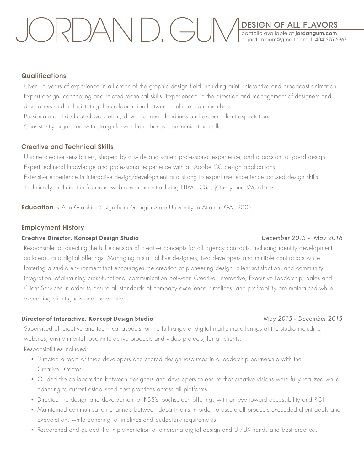# $\parallel$ design  $\parallel$ DESIGN OF ALL FLAVORS<br>portfolio available at jordangum.com e: jordan.gum@gmail.com t: 404.375.6967

### **Qualifications**

Over 15 years of experience in all areas of the graphic design field including print, interactive and broadcast animation. Expert design, concepting and related technical skills. Experienced in the direction and management of designers and developers and in facilitating the collaboration between multiple team members. Passionate and dedicated work ethic, driven to meet deadlines and exceed client expectations. Consistently organized with straightforward and honest communication skills.

### Creative and Technical Skills

Unique creative sensibilities, shaped by a wide and varied professional experience, and a passion for good design. Expert technical knowledge and professional experience with all Adobe CC design applications. Extensive experience in interactive design/development and strong to expert user-experience-focused design skills. Technically proficient in front-end web development utilizing HTML, CSS, jQuery and WordPress.

**Education** BFA in Graphic Design from Georgia State University in Atlanta, GA, 2003

### Employment History

### Creative Director, Koncept Design Studio *December 2015 - May 2016*

Responsible for directing the full extension of creative concepts for all agency contracts, including identity development, collateral, and digital offerings. Managing a staff of five designers, two developers and multiple contractors while fostering a studio environment that encourages the creation of pioneering design, client satisfaction, and community integration. Maintaining cross-functional communication between Creative, Interactive, Executive Leadership, Sales and Client Services in order to assure all standards of company excellence, timelines, and profitability are maintained while exceeding client goals and expectations.

### Director of Interactive, Koncept Design Studio *May 2015 - December 2015*

Supervised all creative and technical aspects for the full range of digital marketing offerings at the studio including websites, environmental touch-interactive products and video projects, for all clients. Responsibilities included:

- Directed a team of three developers and shared design resources in a leadership partnership with the Creative Director
- Guided the collaboration between designers and developers to ensure that creative visions were fully realized while adhering to current established best practices across all platforms
- Directed the design and development of KDS's touchscreen offerings with an eye toward accessibility and ROI
- Maintained communication channels between departments in order to assure all products exceeded client goals and expectations while adhering to timelines and budgetary requirements
- Researched and guided the implementation of emerging digital design and UI/UX trends and best practices